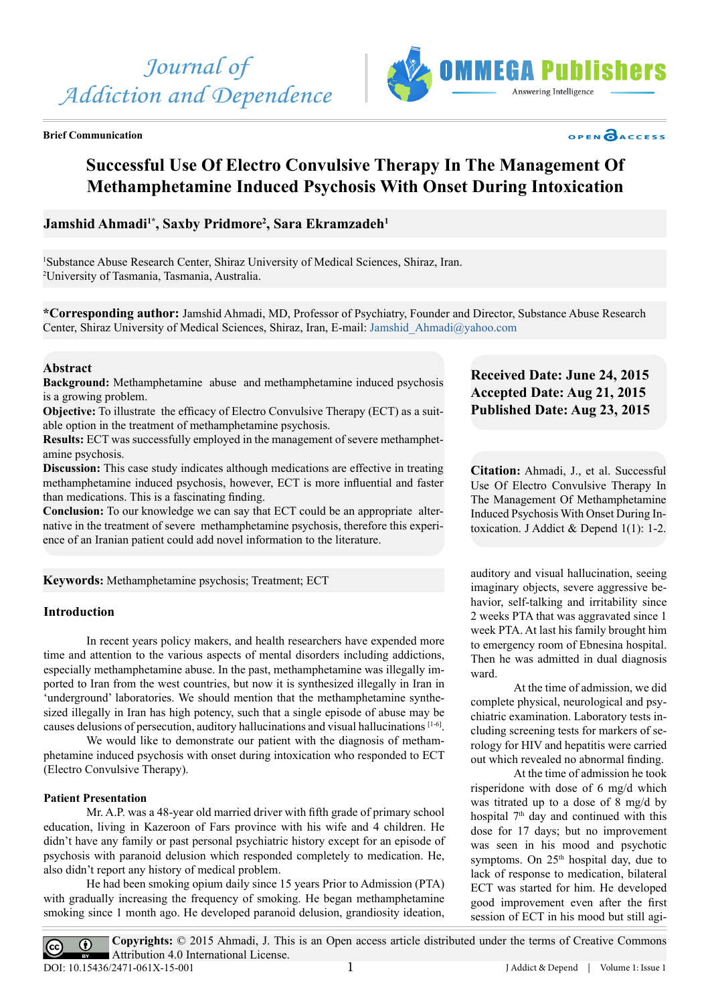

**Brief Communication**



# OPEN OACCESS

# **Successful Use Of Electro Convulsive Therapy In The Management Of Methamphetamine Induced Psychosis With Onset During Intoxication**

# Jamshid Ahmadi<sup>1\*</sup>, Saxby Pridmore<sup>2</sup>, Sara Ekramzadeh<sup>1</sup>

1 Substance Abuse Research Center, Shiraz University of Medical Sciences, Shiraz, Iran. 2 University of Tasmania, Tasmania, Australia.

**\*Corresponding author:** Jamshid Ahmadi, MD, Professor of Psychiatry, Founder and Director, Substance Abuse Research Center, Shiraz University of Medical Sciences, Shiraz, Iran, E-mail: [Jamshid\\_Ahmadi@yahoo.com](mailto:Jamshid_Ahmadi@yahoo.com)

#### **Abstract**

**Background:** Methamphetamine abuse and methamphetamine induced psychosis is a growing problem.

**Objective:** To illustrate the efficacy of Electro Convulsive Therapy (ECT) as a suitable option in the treatment of methamphetamine psychosis.

**Results:** ECT was successfully employed in the management of severe methamphetamine psychosis.

**Discussion:** This case study indicates although medications are effective in treating methamphetamine induced psychosis, however, ECT is more influential and faster than medications. This is a fascinating finding.

**Conclusion:** To our knowledge we can say that ECT could be an appropriate alternative in the treatment of severe methamphetamine psychosis, therefore this experience of an Iranian patient could add novel information to the literature.

**Keywords:** Methamphetamine psychosis; Treatment; ECT

## **Introduction**

In recent years policy makers, and health researchers have expended more time and attention to the various aspects of mental disorders including addictions, especially methamphetamine abuse. In the past, methamphetamine was illegally imported to Iran from the west countries, but now it is synthesized illegally in Iran in 'underground' laboratories. We should mention that the methamphetamine synthesized illegally in Iran has high potency, such that a single episode of abuse may be causes delusions of persecution, auditory hallucinations and visual hallucinations [1-6].

We would like to demonstrate our patient with the diagnosis of methamphetamine induced psychosis with onset during intoxication who responded to ECT (Electro Convulsive Therapy).

#### **Patient Presentation**

Mr. A.P. was a 48-year old married driver with fifth grade of primary school education, living in Kazeroon of Fars province with his wife and 4 children. He didn't have any family or past personal psychiatric history except for an episode of psychosis with paranoid delusion which responded completely to medication. He, also didn't report any history of medical problem.

He had been smoking opium daily since 15 years Prior to Admission (PTA) with gradually increasing the frequency of smoking. He began methamphetamine smoking since 1 month ago. He developed paranoid delusion, grandiosity ideation,

# **Received Date: June 24, 2015 Accepted Date: Aug 21, 2015 Published Date: Aug 23, 2015**

**Citation:** Ahmadi, J., et al. Successful Use Of Electro Convulsive Therapy In The Management Of Methamphetamine Induced Psychosis With Onset During Intoxication. J Addict & Depend  $1(1)$ : 1-2.

auditory and visual hallucination, seeing imaginary objects, severe aggressive behavior, self-talking and irritability since 2 weeks PTA that was aggravated since 1 week PTA. At last his family brought him to emergency room of Ebnesina hospital. Then he was admitted in dual diagnosis ward.

At the time of admission, we did complete physical, neurological and psychiatric examination. Laboratory tests including screening tests for markers of serology for HIV and hepatitis were carried out which revealed no abnormal finding.

At the time of admission he took risperidone with dose of 6 mg/d which was titrated up to a dose of 8 mg/d by hospital 7<sup>th</sup> day and continued with this dose for 17 days; but no improvement was seen in his mood and psychotic symptoms. On  $25<sup>th</sup>$  hospital day, due to lack of response to medication, bilateral ECT was started for him. He developed good improvement even after the first session of ECT in his mood but still agi-

**Copyrights:** © 2015 Ahmadi, J. This is an Open access article distributed under the terms of Creative Commons  $\overline{r}$ Attribution 4.0 International License. DOI: [10.15436/2471-061X-15-00](http://www.dx.doi.org/10.15436/2477-061X.15.001)1J Addict & Depend | Volume 1: Issue 1